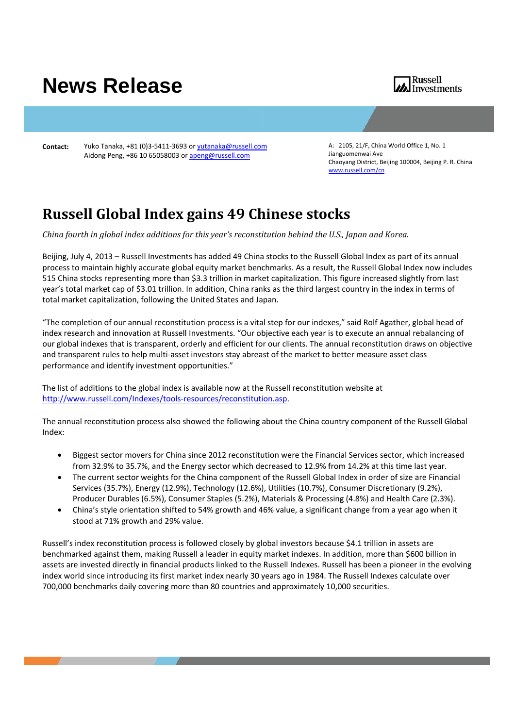## **News Release**



**Contact:** Yuko Tanaka, +81 (0)3‐5411‐3693 or yutanaka@russell.com Aidong Peng, +86 10 65058003 or apeng@russell.com

A: 2105, 21/F, China World Office 1, No. 1 Jianguomenwai Ave Chaoyang District, Beijing 100004, Beijing P. R. China www.russell.com/cn

## **Russell Global Index gains 49 Chinese stocks**

*China fourth in global index additions for this year's reconstitution behind the U.S., Japan and Korea.*

Beijing, July 4, 2013 – Russell Investments has added 49 China stocks to the Russell Global Index as part of its annual process to maintain highly accurate global equity market benchmarks. As a result, the Russell Global Index now includes 515 China stocks representing more than \$3.3 trillion in market capitalization. This figure increased slightly from last year's total market cap of \$3.01 trillion. In addition, China ranks as the third largest country in the index in terms of total market capitalization, following the United States and Japan.

"The completion of our annual reconstitution process is a vital step for our indexes," said Rolf Agather, global head of index research and innovation at Russell Investments. "Our objective each year is to execute an annual rebalancing of our global indexes that is transparent, orderly and efficient for our clients. The annual reconstitution draws on objective and transparent rules to help multi‐asset investors stay abreast of the market to better measure asset class performance and identify investment opportunities."

The list of additions to the global index is available now at the Russell reconstitution website at http://www.russell.com/Indexes/tools‐resources/reconstitution.asp.

The annual reconstitution process also showed the following about the China country component of the Russell Global Index:

- Biggest sector movers for China since 2012 reconstitution were the Financial Services sector, which increased from 32.9% to 35.7%, and the Energy sector which decreased to 12.9% from 14.2% at this time last year.
- The current sector weights for the China component of the Russell Global Index in order of size are Financial Services (35.7%), Energy (12.9%), Technology (12.6%), Utilities (10.7%), Consumer Discretionary (9.2%), Producer Durables (6.5%), Consumer Staples (5.2%), Materials & Processing (4.8%) and Health Care (2.3%).
- China's style orientation shifted to 54% growth and 46% value, a significant change from a year ago when it stood at 71% growth and 29% value.

Russell's index reconstitution process is followed closely by global investors because \$4.1 trillion in assets are benchmarked against them, making Russell a leader in equity market indexes. In addition, more than \$600 billion in assets are invested directly in financial products linked to the Russell Indexes. Russell has been a pioneer in the evolving index world since introducing its first market index nearly 30 years ago in 1984. The Russell Indexes calculate over 700,000 benchmarks daily covering more than 80 countries and approximately 10,000 securities.